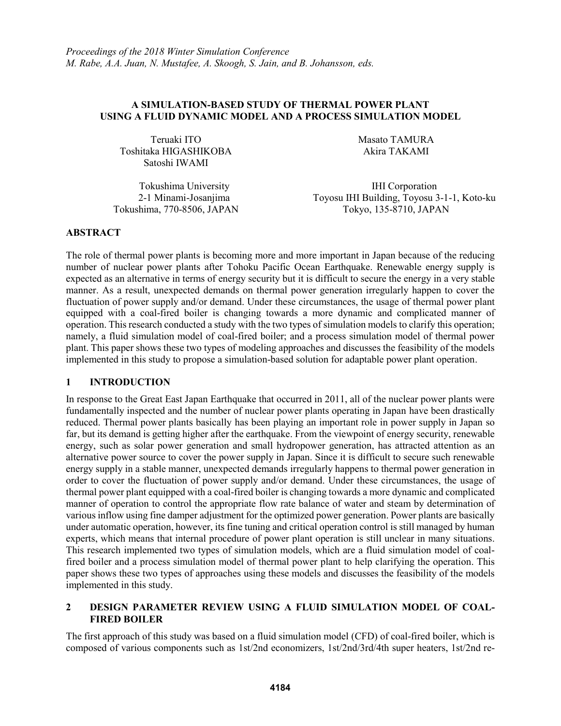# **A SIMULATION-BASED STUDY OF THERMAL POWER PLANT USING A FLUID DYNAMIC MODEL AND A PROCESS SIMULATION MODEL**

Teruaki ITO Masato TAMURA Toshitaka HIGASHIKOBA Akira TAKAMI Satoshi IWAMI

Tokushima University **IHI Corporation** 2-1 Minami-Josanjima Toyosu IHI Building, Toyosu 3-1-1, Koto-ku Tokushima, 770-8506, JAPAN Tokyo, 135-8710, JAPAN

# **ABSTRACT**

The role of thermal power plants is becoming more and more important in Japan because of the reducing number of nuclear power plants after Tohoku Pacific Ocean Earthquake. Renewable energy supply is expected as an alternative in terms of energy security but it is difficult to secure the energy in a very stable manner. As a result, unexpected demands on thermal power generation irregularly happen to cover the fluctuation of power supply and/or demand. Under these circumstances, the usage of thermal power plant equipped with a coal-fired boiler is changing towards a more dynamic and complicated manner of operation. This research conducted a study with the two types of simulation models to clarify this operation; namely, a fluid simulation model of coal-fired boiler; and a process simulation model of thermal power plant. This paper shows these two types of modeling approaches and discusses the feasibility of the models implemented in this study to propose a simulation-based solution for adaptable power plant operation.

# **1 INTRODUCTION**

In response to the Great East Japan Earthquake that occurred in 2011, all of the nuclear power plants were fundamentally inspected and the number of nuclear power plants operating in Japan have been drastically reduced. Thermal power plants basically has been playing an important role in power supply in Japan so far, but its demand is getting higher after the earthquake. From the viewpoint of energy security, renewable energy, such as solar power generation and small hydropower generation, has attracted attention as an alternative power source to cover the power supply in Japan. Since it is difficult to secure such renewable energy supply in a stable manner, unexpected demands irregularly happens to thermal power generation in order to cover the fluctuation of power supply and/or demand. Under these circumstances, the usage of thermal power plant equipped with a coal-fired boiler is changing towards a more dynamic and complicated manner of operation to control the appropriate flow rate balance of water and steam by determination of various inflow using fine damper adjustment for the optimized power generation. Power plants are basically under automatic operation, however, its fine tuning and critical operation control is still managed by human experts, which means that internal procedure of power plant operation is still unclear in many situations. This research implemented two types of simulation models, which are a fluid simulation model of coalfired boiler and a process simulation model of thermal power plant to help clarifying the operation. This paper shows these two types of approaches using these models and discusses the feasibility of the models implemented in this study.

# **2 DESIGN PARAMETER REVIEW USING A FLUID SIMULATION MODEL OF COAL-FIRED BOILER**

The first approach of this study was based on a fluid simulation model (CFD) of coal-fired boiler, which is composed of various components such as 1st/2nd economizers, 1st/2nd/3rd/4th super heaters, 1st/2nd re-